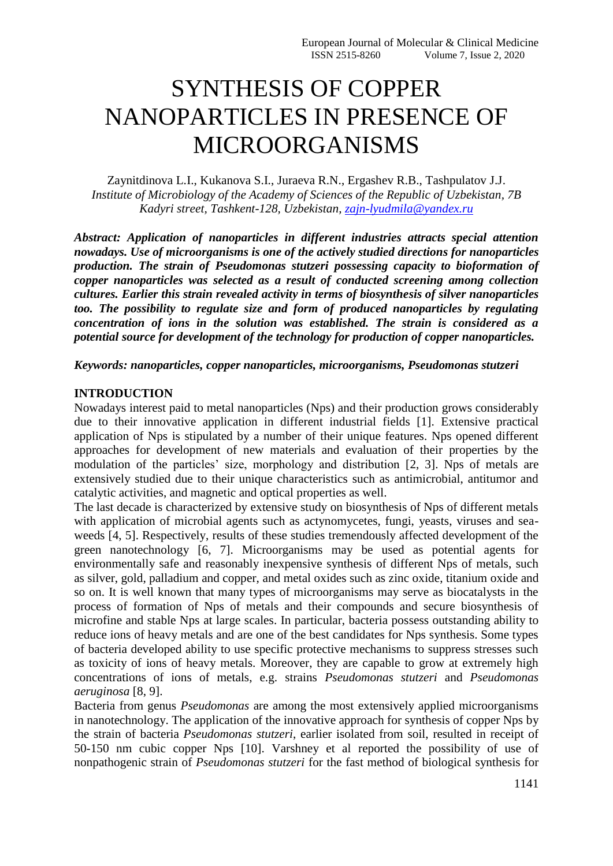# SYNTHESIS OF COPPER NANOPARTICLES IN PRESENCE OF MICROORGANISMS

Zaynitdinova L.I., Kukanova S.I., Juraeva R.N., Ergashev R.B., Tashpulatov J.J. *Institute of Microbiology of the Academy of Sciences of the Republic of Uzbekistan, 7B Kadyri street, Tashkent-128, Uzbekistan, [zajn-lyudmila@yandex.ru](mailto:zajn-lyudmila@yandex.ru)*

*Abstract: Application of nanoparticles in different industries attracts special attention nowadays. Use of microorganisms is one of the actively studied directions for nanoparticles production. The strain of Pseudomonas stutzeri possessing capacity to bioformation of copper nanoparticles was selected as a result of conducted screening among collection cultures. Earlier this strain revealed activity in terms of biosynthesis of silver nanoparticles too. The possibility to regulate size and form of produced nanoparticles by regulating concentration of ions in the solution was established. The strain is considered as a potential source for development of the technology for production of copper nanoparticles.*

*Keywords: nanoparticles, copper nanoparticles, microorganisms, Pseudomonas stutzeri*

# **INTRODUCTION**

Nowadays interest paid to metal nanoparticles (Nps) and their production grows considerably due to their innovative application in different industrial fields [1]. Extensive practical application of Nps is stipulated by a number of their unique features. Nps opened different approaches for development of new materials and evaluation of their properties by the modulation of the particles' size, morphology and distribution [2, 3]. Nps of metals are extensively studied due to their unique characteristics such as antimicrobial, antitumor and catalytic activities, and magnetic and optical properties as well.

The last decade is characterized by extensive study on biosynthesis of Nps of different metals with application of microbial agents such as actynomycetes, fungi, yeasts, viruses and seaweeds [4, 5]. Respectively, results of these studies tremendously affected development of the green nanotechnology [6, 7]. Microorganisms may be used as potential agents for environmentally safe and reasonably inexpensive synthesis of different Nps of metals, such as silver, gold, palladium and copper, and metal oxides such as zinc oxide, titanium oxide and so on. It is well known that many types of microorganisms may serve as biocatalysts in the process of formation of Nps of metals and their compounds and secure biosynthesis of microfine and stable Nps at large scales. In particular, bacteria possess outstanding ability to reduce ions of heavy metals and are one of the best candidates for Nps synthesis. Some types of bacteria developed ability to use specific protective mechanisms to suppress stresses such as toxicity of ions of heavy metals. Moreover, they are capable to grow at extremely high concentrations of ions of metals, e.g. strains *Pseudomonas stutzeri* and *Pseudomonas aeruginosa* [8, 9].

Bacteria from genus *Pseudomonas* are among the most extensively applied microorganisms in nanotechnology. The application of the innovative approach for synthesis of copper Nps by the strain of bacteria *Pseudomonas stutzeri*, earlier isolated from soil, resulted in receipt of 50-150 nm cubic copper Nps [10]. Varshney et al reported the possibility of use of nonpathogenic strain of *Pseudomonas stutzeri* for the fast method of biological synthesis for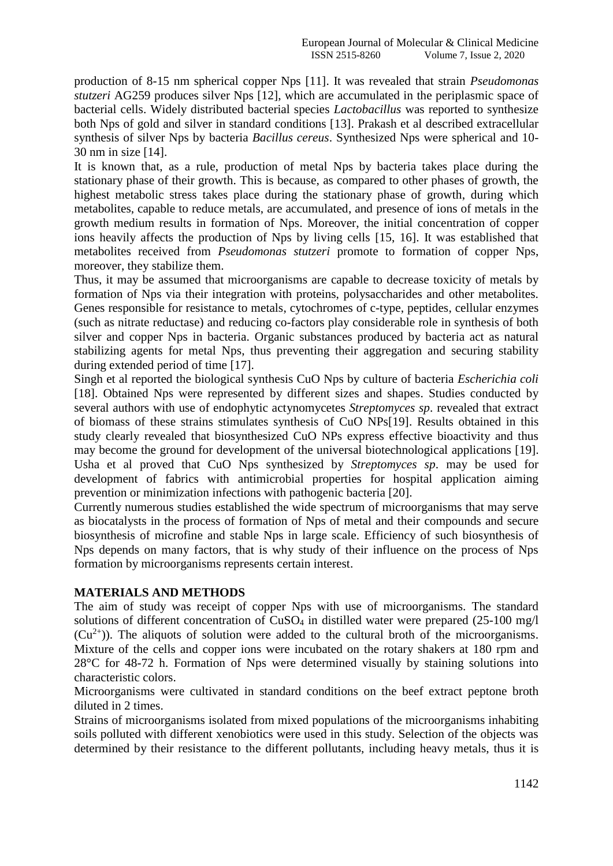production of 8-15 nm spherical copper Nps [11]. It was revealed that strain *Pseudomonas stutzeri* AG259 produces silver Nps [12], which are accumulated in the periplasmic space of bacterial cells. Widely distributed bacterial species *Lactobacillus* was reported to synthesize both Nps of gold and silver in standard conditions [13]. Prakash et al described extracellular synthesis of silver Nps by bacteria *Bacillus cereus*. Synthesized Nps were spherical and 10- 30 nm in size [14].

It is known that, as a rule, production of metal Nps by bacteria takes place during the stationary phase of their growth. This is because, as compared to other phases of growth, the highest metabolic stress takes place during the stationary phase of growth, during which metabolites, capable to reduce metals, are accumulated, and presence of ions of metals in the growth medium results in formation of Nps. Moreover, the initial concentration of copper ions heavily affects the production of Nps by living cells [15, 16]. It was established that metabolites received from *Pseudomonas stutzeri* promote to formation of copper Nps, moreover, they stabilize them.

Thus, it may be assumed that microorganisms are capable to decrease toxicity of metals by formation of Nps via their integration with proteins, polysaccharides and other metabolites. Genes responsible for resistance to metals, cytochromes of c-type, peptides, cellular enzymes (such as nitrate reductase) and reducing co-factors play considerable role in synthesis of both silver and copper Nps in bacteria. Organic substances produced by bacteria act as natural stabilizing agents for metal Nps, thus preventing their aggregation and securing stability during extended period of time [17].

Singh et al reported the biological synthesis CuO Nps by culture of bacteria *Escherichia coli* [18]. Obtained Nps were represented by different sizes and shapes. Studies conducted by several authors with use of endophytic actynomycetes *Streptomyces sp*. revealed that extract of biomass of these strains stimulates synthesis of CuO NPs[19]. Results obtained in this study clearly revealed that biosynthesized CuO NPs express effective bioactivity and thus may become the ground for development of the universal biotechnological applications [19]. Usha et al proved that CuO Nps synthesized by *Streptomyces sp*. may be used for development of fabrics with antimicrobial properties for hospital application aiming prevention or minimization infections with pathogenic bacteria [20].

Currently numerous studies established the wide spectrum of microorganisms that may serve as biocatalysts in the process of formation of Nps of metal and their compounds and secure biosynthesis of microfine and stable Nps in large scale. Efficiency of such biosynthesis of Nps depends on many factors, that is why study of their influence on the process of Nps formation by microorganisms represents certain interest.

# **MATERIALS AND METHODS**

The aim of study was receipt of copper Nps with use of microorganisms. The standard solutions of different concentration of  $CuSO<sub>4</sub>$  in distilled water were prepared (25-100 mg/l)  $(Cu<sup>2+</sup>)$ ). The aliquots of solution were added to the cultural broth of the microorganisms. Mixture of the cells and copper ions were incubated on the rotary shakers at 180 rpm and 28°C for 48-72 h. Formation of Nps were determined visually by staining solutions into characteristic colors.

Microorganisms were cultivated in standard conditions on the beef extract peptone broth diluted in 2 times.

Strains of microorganisms isolated from mixed populations of the microorganisms inhabiting soils polluted with different xenobiotics were used in this study. Selection of the objects was determined by their resistance to the different pollutants, including heavy metals, thus it is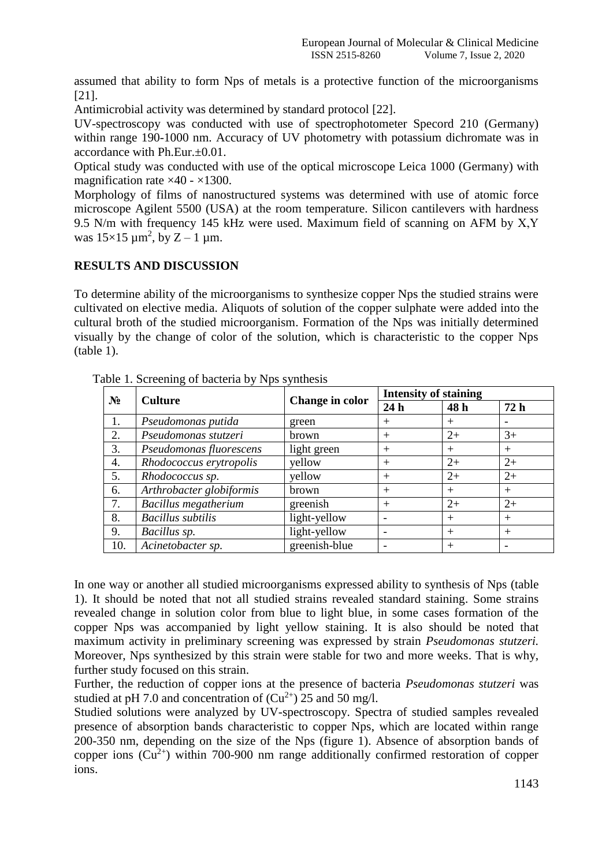assumed that ability to form Nps of metals is a protective function of the microorganisms [21].

Antimicrobial activity was determined by standard protocol [22].

UV-spectroscopy was conducted with use of spectrophotometer Specord 210 (Germany) within range 190-1000 nm. Accuracy of UV photometry with potassium dichromate was in accordance with Ph.Eur.±0.01.

Optical study was conducted with use of the optical microscope Leica 1000 (Germany) with magnification rate  $\times$ 40 -  $\times$ 1300.

Morphology of films of nanostructured systems was determined with use of atomic force microscope Agilent 5500 (USA) at the room temperature. Silicon cantilevers with hardness 9.5 N/m with frequency 145 kHz were used. Maximum field of scanning on AFM by Х,Y was  $15\times15 \mu m^2$ , by  $Z - 1 \mu m$ .

# **RESULTS AND DISCUSSION**

To determine ability of the microorganisms to synthesize copper Nps the studied strains were cultivated on elective media. Aliquots of solution of the copper sulphate were added into the cultural broth of the studied microorganism. Formation of the Nps was initially determined visually by the change of color of the solution, which is characteristic to the copper Nps (table 1).

| $N_2$ | <b>Culture</b>           | Change in color | <b>Intensity of staining</b> |        |        |
|-------|--------------------------|-----------------|------------------------------|--------|--------|
|       |                          |                 | 24h                          | 48 h   | 72h    |
| 1.    | Pseudomonas putida       | green           | $^{+}$                       | $^{+}$ |        |
| 2.    | Pseudomonas stutzeri     | <b>brown</b>    | $^{+}$                       | $2+$   | $3+$   |
| 3.    | Pseudomonas fluorescens  | light green     | $^{+}$                       | $^{+}$ | $^{+}$ |
| 4.    | Rhodococcus erytropolis  | yellow          | $^{+}$                       | $2+$   | $2+$   |
| 5.    | Rhodococcus sp.          | yellow          | $^{+}$                       | $2+$   | $2+$   |
| 6.    | Arthrobacter globiformis | brown           | $^{+}$                       | $^{+}$ | $^{+}$ |
| 7.    | Bacillus megatherium     | greenish        | $^{+}$                       | $2+$   | $2+$   |
| 8.    | <b>Bacillus</b> subtilis | light-yellow    |                              | $+$    | $^{+}$ |
| 9.    | Bacillus sp.             | light-yellow    |                              | $+$    | $^{+}$ |
| 10.   | Acinetobacter sp.        | greenish-blue   |                              | $^{+}$ |        |

Table 1. Screening of bacteria by Nps synthesis

In one way or another all studied microorganisms expressed ability to synthesis of Nps (table 1). It should be noted that not all studied strains revealed standard staining. Some strains revealed change in solution color from blue to light blue, in some cases formation of the copper Nps was accompanied by light yellow staining. It is also should be noted that maximum activity in preliminary screening was expressed by strain *Pseudomonas stutzeri.* Moreover, Nps synthesized by this strain were stable for two and more weeks. That is why, further study focused on this strain.

Further, the reduction of copper ions at the presence of bacteria *Pseudomonas stutzeri* was studied at pH 7.0 and concentration of  $(Cu^{2+})$  25 and 50 mg/l.

Studied solutions were analyzed by UV-spectroscopy. Spectra of studied samples revealed presence of absorption bands characteristic to copper Nps, which are located within range 200-350 nm, depending on the size of the Nps (figure 1). Absence of absorption bands of copper ions  $(Cu^{2+})$  within 700-900 nm range additionally confirmed restoration of copper ions.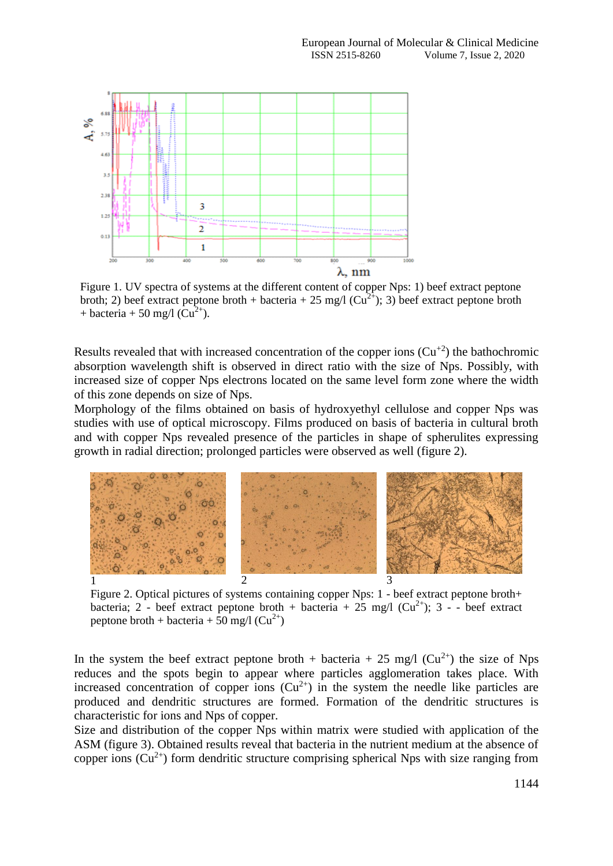

Figure 1. UV spectra of systems at the different content of copper Nps: 1) beef extract peptone broth; 2) beef extract peptone broth + bacteria + 25 mg/l ( $Cu^{2+}$ ); 3) beef extract peptone broth + bacteria + 50 mg/l  $(Cu^{2+})$ .

Results revealed that with increased concentration of the copper ions  $(Cu^{2})$  the bathochromic absorption wavelength shift is observed in direct ratio with the size of Nps. Possibly, with increased size of copper Nps electrons located on the same level form zone where the width of this zone depends on size of Nps.

Morphology of the films obtained on basis of hydroxyethyl cellulose and copper Nps was studies with use of optical microscopy. Films produced on basis of bacteria in cultural broth and with copper Nps revealed presence of the particles in shape of spherulites expressing growth in radial direction; prolonged particles were observed as well (figure 2).



Figure 2. Optical pictures of systems containing copper Nps: 1 - beef extract peptone broth+ bacteria; 2 - beef extract peptone broth + bacteria +  $25 \text{ mg/l}$  ( $Cu^{2+}$ ); 3 - - beef extract peptone broth + bacteria + 50 mg/l  $(Cu^{2+})$ 

In the system the beef extract peptone broth + bacteria + 25 mg/l ( $Cu^{2+}$ ) the size of Nps reduces and the spots begin to appear where particles agglomeration takes place. With increased concentration of copper ions  $(Cu^{2+})$  in the system the needle like particles are produced and dendritic structures are formed. Formation of the dendritic structures is characteristic for ions and Nps of copper.

Size and distribution of the copper Nps within matrix were studied with application of the ASM (figure 3). Obtained results reveal that bacteria in the nutrient medium at the absence of copper ions  $(Cu^{2+})$  form dendritic structure comprising spherical Nps with size ranging from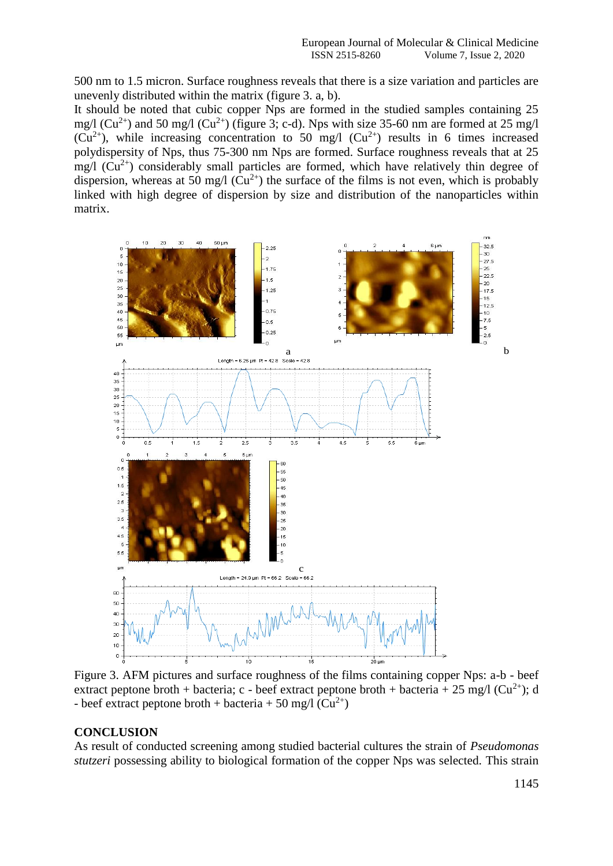500 nm to 1.5 micron. Surface roughness reveals that there is a size variation and particles are unevenly distributed within the matrix (figure 3. a, b).

It should be noted that cubic copper Nps are formed in the studied samples containing 25 mg/l ( $Cu^{2+}$ ) and 50 mg/l ( $Cu^{2+}$ ) (figure 3; c-d). Nps with size 35-60 nm are formed at 25 mg/l  $(Cu^{2+})$ , while increasing concentration to 50 mg/l  $(Cu^{2+})$  results in 6 times increased polydispersity of Nps, thus 75-300 nm Nps are formed. Surface roughness reveals that at 25 mg/l  $(Cu^{2+})$  considerably small particles are formed, which have relatively thin degree of dispersion, whereas at 50 mg/l  $(Cu^{2+})$  the surface of the films is not even, which is probably linked with high degree of dispersion by size and distribution of the nanoparticles within matrix.



Figure 3. AFM pictures and surface roughness of the films containing copper Nps: a-b - beef extract peptone broth + bacteria; c - beef extract peptone broth + bacteria + 25 mg/l ( $Cu^{2+}$ ); d - beef extract peptone broth + bacteria + 50 mg/l  $(Cu^{2+})$ 

# **CONCLUSION**

As result of conducted screening among studied bacterial cultures the strain of *Pseudomonas stutzeri* possessing ability to biological formation of the copper Nps was selected. This strain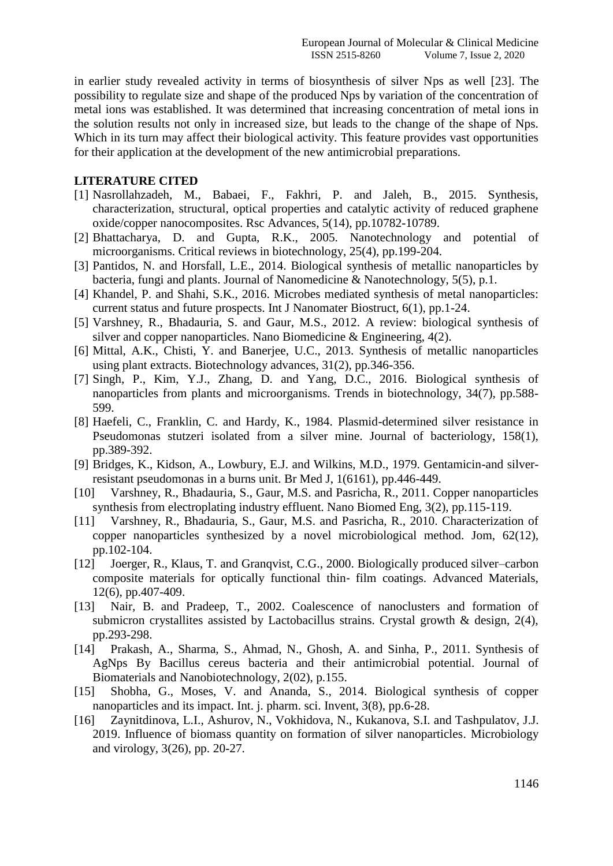in earlier study revealed activity in terms of biosynthesis of silver Nps as well [23]. The possibility to regulate size and shape of the produced Nps by variation of the concentration of metal ions was established. It was determined that increasing concentration of metal ions in the solution results not only in increased size, but leads to the change of the shape of Nps. Which in its turn may affect their biological activity. This feature provides vast opportunities for their application at the development of the new antimicrobial preparations.

# **LITERATURE CITED**

- [1] Nasrollahzadeh, M., Babaei, F., Fakhri, P. and Jaleh, B., 2015. Synthesis, characterization, structural, optical properties and catalytic activity of reduced graphene oxide/copper nanocomposites. Rsc Advances, 5(14), pp.10782-10789.
- [2] Bhattacharya, D. and Gupta, R.K., 2005. Nanotechnology and potential of microorganisms. Critical reviews in biotechnology, 25(4), pp.199-204.
- [3] Pantidos, N. and Horsfall, L.E., 2014. Biological synthesis of metallic nanoparticles by bacteria, fungi and plants. Journal of Nanomedicine & Nanotechnology, 5(5), p.1.
- [4] Khandel, P. and Shahi, S.K., 2016. Microbes mediated synthesis of metal nanoparticles: current status and future prospects. Int J Nanomater Biostruct, 6(1), pp.1-24.
- [5] Varshney, R., Bhadauria, S. and Gaur, M.S., 2012. A review: biological synthesis of silver and copper nanoparticles. Nano Biomedicine & Engineering, 4(2).
- [6] Mittal, A.K., Chisti, Y. and Banerjee, U.C., 2013. Synthesis of metallic nanoparticles using plant extracts. Biotechnology advances, 31(2), pp.346-356.
- [7] Singh, P., Kim, Y.J., Zhang, D. and Yang, D.C., 2016. Biological synthesis of nanoparticles from plants and microorganisms. Trends in biotechnology, 34(7), pp.588- 599.
- [8] Haefeli, C., Franklin, C. and Hardy, K., 1984. Plasmid-determined silver resistance in Pseudomonas stutzeri isolated from a silver mine. Journal of bacteriology, 158(1), pp.389-392.
- [9] Bridges, K., Kidson, A., Lowbury, E.J. and Wilkins, M.D., 1979. Gentamicin-and silverresistant pseudomonas in a burns unit. Br Med J, 1(6161), pp.446-449.
- [10] Varshney, R., Bhadauria, S., Gaur, M.S. and Pasricha, R., 2011. Copper nanoparticles synthesis from electroplating industry effluent. Nano Biomed Eng, 3(2), pp.115-119.
- [11] Varshney, R., Bhadauria, S., Gaur, M.S. and Pasricha, R., 2010. Characterization of copper nanoparticles synthesized by a novel microbiological method. Jom, 62(12), pp.102-104.
- [12] Joerger, R., Klaus, T. and Granqvist, C.G., 2000. Biologically produced silver–carbon composite materials for optically functional thin‐ film coatings. Advanced Materials, 12(6), pp.407-409.
- [13] Nair, B. and Pradeep, T., 2002. Coalescence of nanoclusters and formation of submicron crystallites assisted by Lactobacillus strains. Crystal growth  $\&$  design, 2(4), pp.293-298.
- [14] Prakash, A., Sharma, S., Ahmad, N., Ghosh, A. and Sinha, P., 2011. Synthesis of AgNps By Bacillus cereus bacteria and their antimicrobial potential. Journal of Biomaterials and Nanobiotechnology, 2(02), p.155.
- [15] Shobha, G., Moses, V. and Ananda, S., 2014. Biological synthesis of copper nanoparticles and its impact. Int. j. pharm. sci. Invent, 3(8), pp.6-28.
- [16] Zaynitdinova, L.I., Ashurov, N., Vokhidova, N., Kukanova, S.I. and Tashpulatov, J.J. 2019. Influence of biomass quantity on formation of silver nanoparticles. Microbiology and virology, 3(26), pp. 20-27.